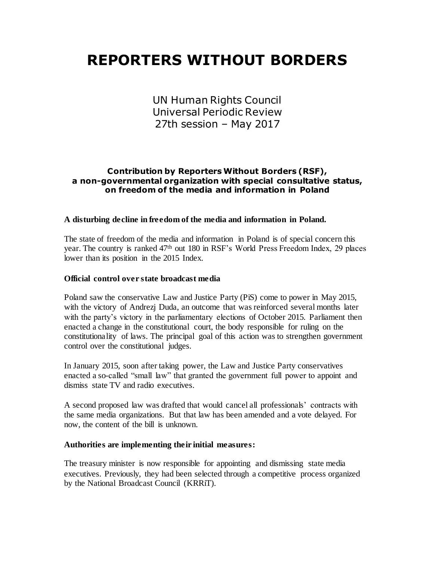# **REPORTERS WITHOUT BORDERS**

UN Human Rights Council Universal Periodic Review 27th session – May 2017

## **Contribution by Reporters Without Borders (RSF), a non-governmental organization with special consultative status, on freedom of the media and information in Poland**

### **A disturbing decline in freedom of the media and information in Poland.**

The state of freedom of the media and information in Poland is of special concern this year. The country is ranked 47th out 180 in RSF's World Press Freedom Index, 29 places lower than its position in the 2015 Index.

#### **Official control over state broadcast media**

Poland saw the conservative Law and Justice Party (PiS) come to power in May 2015, with the victory of Andrezj Duda, an outcome that was reinforced several months later with the party's victory in the parliamentary elections of October 2015. Parliament then enacted a change in the constitutional court, the body responsible for ruling on the constitutionality of laws. The principal goal of this action was to strengthen government control over the constitutional judges.

In January 2015, soon after taking power, the Law and Justice Party conservatives enacted a so-called "small law" that granted the government full power to appoint and dismiss state TV and radio executives.

A second proposed law was drafted that would cancel all professionals' contracts with the same media organizations. But that law has been amended and a vote delayed. For now, the content of the bill is unknown.

#### **Authorities are implementing their initial measures:**

The treasury minister is now responsible for appointing and dismissing state media executives. Previously, they had been selected through a competitive process organized by the National Broadcast Council (KRRiT).